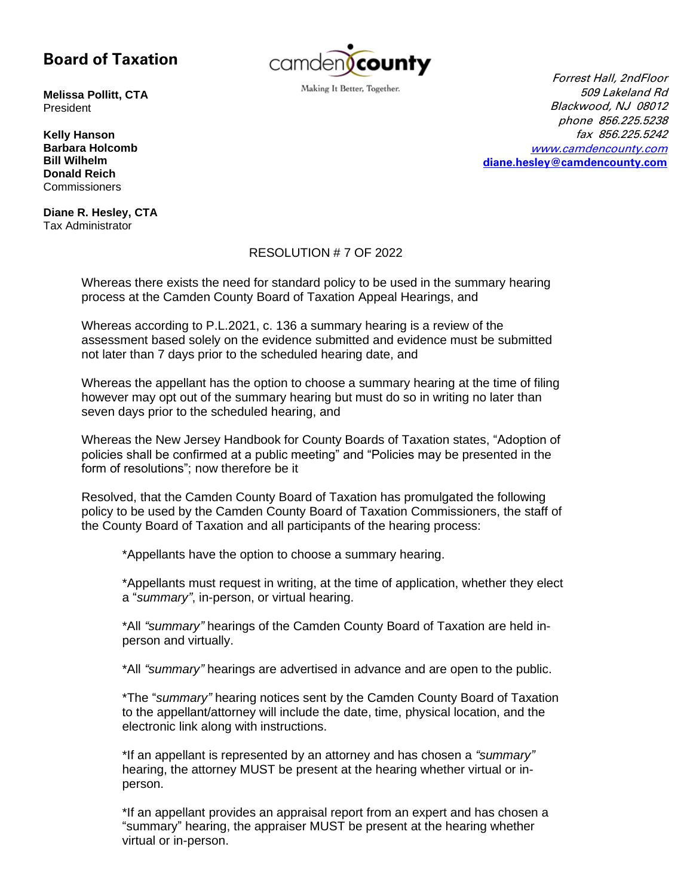## **Board of Taxation**



Making It Better, Together.

**Melissa Pollitt, CTA** President

**Kelly Hanson Barbara Holcomb Bill Wilhelm Donald Reich Commissioners** 

**Diane R. Hesley, CTA** Tax Administrator

## Forrest Hall, 2ndFloor 509 Lakeland Rd Blackwood, NJ 08012 phone 856.225.5238 fax 856.225.5242 [www.camdencounty.com](http://www.camdencounty.com/) **[diane.hesley@camdencounty.com](mailto:diane.hesley@camdencounty.com)**

## RESOLUTION # 7 OF 2022

Whereas there exists the need for standard policy to be used in the summary hearing process at the Camden County Board of Taxation Appeal Hearings, and

Whereas according to P.L.2021, c. 136 a summary hearing is a review of the assessment based solely on the evidence submitted and evidence must be submitted not later than 7 days prior to the scheduled hearing date, and

Whereas the appellant has the option to choose a summary hearing at the time of filing however may opt out of the summary hearing but must do so in writing no later than seven days prior to the scheduled hearing, and

Whereas the New Jersey Handbook for County Boards of Taxation states, "Adoption of policies shall be confirmed at a public meeting" and "Policies may be presented in the form of resolutions"; now therefore be it

Resolved, that the Camden County Board of Taxation has promulgated the following policy to be used by the Camden County Board of Taxation Commissioners, the staff of the County Board of Taxation and all participants of the hearing process:

\*Appellants have the option to choose a summary hearing.

\*Appellants must request in writing, at the time of application, whether they elect a "*summary"*, in-person, or virtual hearing.

\*All *"summary"* hearings of the Camden County Board of Taxation are held inperson and virtually.

\*All *"summary"* hearings are advertised in advance and are open to the public.

\*The "*summary"* hearing notices sent by the Camden County Board of Taxation to the appellant/attorney will include the date, time, physical location, and the electronic link along with instructions.

\*If an appellant is represented by an attorney and has chosen a *"summary"* hearing, the attorney MUST be present at the hearing whether virtual or inperson.

\*If an appellant provides an appraisal report from an expert and has chosen a "summary" hearing, the appraiser MUST be present at the hearing whether virtual or in-person.